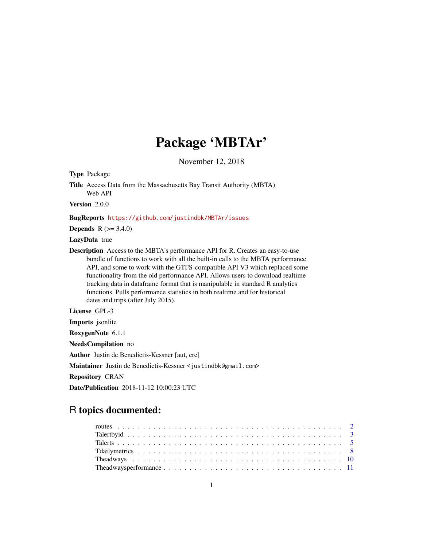# Package 'MBTAr'

November 12, 2018

Type Package

Title Access Data from the Massachusetts Bay Transit Authority (MBTA) Web API

Version 2.0.0

#### BugReports <https://github.com/justindbk/MBTAr/issues>

**Depends** R  $(>= 3.4.0)$ 

LazyData true

Description Access to the MBTA's performance API for R. Creates an easy-to-use bundle of functions to work with all the built-in calls to the MBTA performance API, and some to work with the GTFS-compatible API V3 which replaced some functionality from the old performance API. Allows users to download realtime tracking data in dataframe format that is manipulable in standard R analytics functions. Pulls performance statistics in both realtime and for historical dates and trips (after July 2015).

License GPL-3

Imports jsonlite

RoxygenNote 6.1.1

NeedsCompilation no

Author Justin de Benedictis-Kessner [aut, cre]

Maintainer Justin de Benedictis-Kessner <justindbk@gmail.com>

Repository CRAN

Date/Publication 2018-11-12 10:00:23 UTC

# R topics documented: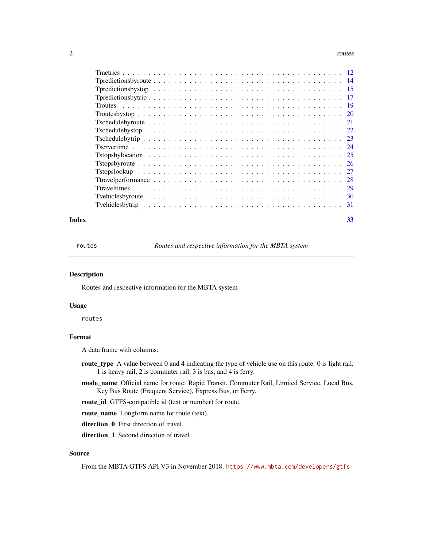#### <span id="page-1-0"></span> $2 \times 2$

| Index | 33 |  |
|-------|----|--|

routes *Routes and respective information for the MBTA system*

#### Description

Routes and respective information for the MBTA system

#### Usage

routes

#### Format

A data frame with columns:

- route\_type A value between 0 and 4 indicating the type of vehicle use on this route. 0 is light rail, 1 is heavy rail, 2 is commuter rail, 3 is bus, and 4 is ferry.
- mode\_name Official name for route: Rapid Transit, Commuter Rail, Limited Service, Local Bus, Key Bus Route (Frequent Service), Express Bus, or Ferry.

route\_id GTFS-compatible id (text or number) for route.

route\_name Longform name for route (text).

direction\_0 First direction of travel.

direction\_1 Second direction of travel.

#### Source

From the MBTA GTFS API V3 in November 2018. <https://www.mbta.com/developers/gtfs>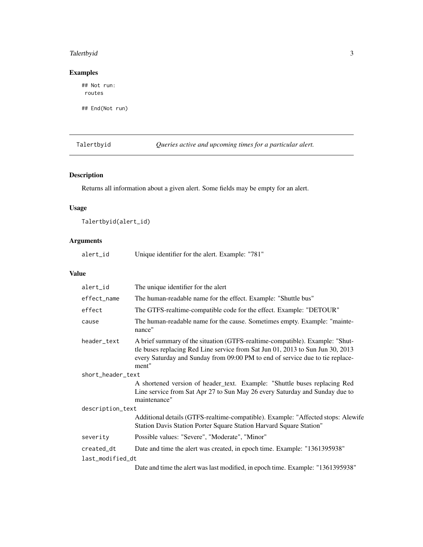# <span id="page-2-0"></span>Talertbyid 3

#### Examples

## Not run: routes

## End(Not run)

<span id="page-2-1"></span>Talertbyid *Queries active and upcoming times for a particular alert.*

# Description

Returns all information about a given alert. Some fields may be empty for an alert.

#### Usage

Talertbyid(alert\_id)

#### Arguments

alert\_id Unique identifier for the alert. Example: "781"

| alert_id          | The unique identifier for the alert                                                                                                                                                                                                                      |
|-------------------|----------------------------------------------------------------------------------------------------------------------------------------------------------------------------------------------------------------------------------------------------------|
| effect_name       | The human-readable name for the effect. Example: "Shuttle bus"                                                                                                                                                                                           |
| effect            | The GTFS-realtime-compatible code for the effect. Example: "DETOUR"                                                                                                                                                                                      |
| cause             | The human-readable name for the cause. Sometimes empty. Example: "mainte-<br>nance"                                                                                                                                                                      |
| header_text       | A brief summary of the situation (GTFS-realtime-compatible). Example: "Shut-<br>tle buses replacing Red Line service from Sat Jun 01, 2013 to Sun Jun 30, 2013<br>every Saturday and Sunday from 09:00 PM to end of service due to tie replace-<br>ment" |
| short_header_text |                                                                                                                                                                                                                                                          |
|                   | A shortened version of header_text. Example: "Shuttle buses replacing Red<br>Line service from Sat Apr 27 to Sun May 26 every Saturday and Sunday due to<br>maintenance"                                                                                 |
| description_text  |                                                                                                                                                                                                                                                          |
|                   | Additional details (GTFS-realtime-compatible). Example: "Affected stops: Alewife<br>Station Davis Station Porter Square Station Harvard Square Station"                                                                                                  |
| severity          | Possible values: "Severe", "Moderate", "Minor"                                                                                                                                                                                                           |
| created dt        | Date and time the alert was created, in epoch time. Example: "1361395938"                                                                                                                                                                                |
| last_modified_dt  |                                                                                                                                                                                                                                                          |
|                   | Date and time the alert was last modified, in epoch time. Example: "1361395938"                                                                                                                                                                          |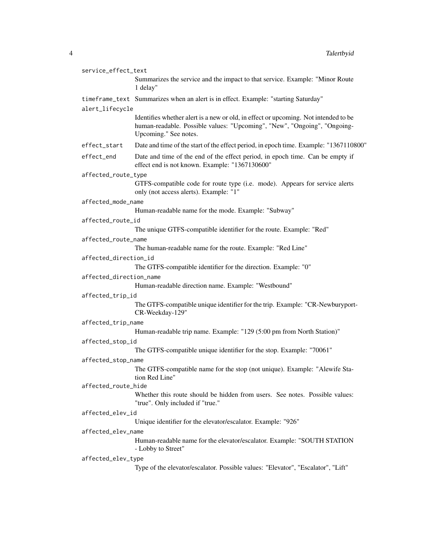| service_effect_text     |                                                                                                                                                                                          |  |  |  |
|-------------------------|------------------------------------------------------------------------------------------------------------------------------------------------------------------------------------------|--|--|--|
|                         | Summarizes the service and the impact to that service. Example: "Minor Route<br>1 delay"                                                                                                 |  |  |  |
|                         | timeframe_text Summarizes when an alert is in effect. Example: "starting Saturday"                                                                                                       |  |  |  |
| alert_lifecycle         |                                                                                                                                                                                          |  |  |  |
|                         | Identifies whether alert is a new or old, in effect or upcoming. Not intended to be<br>human-readable. Possible values: "Upcoming", "New", "Ongoing", "Ongoing-<br>Upcoming." See notes. |  |  |  |
| effect_start            | Date and time of the start of the effect period, in epoch time. Example: "1367110800"                                                                                                    |  |  |  |
| effect_end              | Date and time of the end of the effect period, in epoch time. Can be empty if<br>effect end is not known. Example: "1367130600"                                                          |  |  |  |
| affected_route_type     |                                                                                                                                                                                          |  |  |  |
|                         | GTFS-compatible code for route type (i.e. mode). Appears for service alerts<br>only (not access alerts). Example: "1"                                                                    |  |  |  |
| affected_mode_name      |                                                                                                                                                                                          |  |  |  |
|                         | Human-readable name for the mode. Example: "Subway"                                                                                                                                      |  |  |  |
| affected_route_id       |                                                                                                                                                                                          |  |  |  |
|                         | The unique GTFS-compatible identifier for the route. Example: "Red"                                                                                                                      |  |  |  |
| affected_route_name     |                                                                                                                                                                                          |  |  |  |
|                         | The human-readable name for the route. Example: "Red Line"                                                                                                                               |  |  |  |
| affected_direction_id   |                                                                                                                                                                                          |  |  |  |
|                         | The GTFS-compatible identifier for the direction. Example: "0"                                                                                                                           |  |  |  |
| affected_direction_name |                                                                                                                                                                                          |  |  |  |
|                         | Human-readable direction name. Example: "Westbound"                                                                                                                                      |  |  |  |
| affected_trip_id        |                                                                                                                                                                                          |  |  |  |
|                         | The GTFS-compatible unique identifier for the trip. Example: "CR-Newburyport-<br>CR-Weekday-129"                                                                                         |  |  |  |
| affected_trip_name      |                                                                                                                                                                                          |  |  |  |
|                         | Human-readable trip name. Example: "129 (5:00 pm from North Station)"                                                                                                                    |  |  |  |
| affected_stop_id        |                                                                                                                                                                                          |  |  |  |
|                         | The GTFS-compatible unique identifier for the stop. Example: "70061"                                                                                                                     |  |  |  |
| affected_stop_name      |                                                                                                                                                                                          |  |  |  |
|                         | The GTFS-compatible name for the stop (not unique). Example: "Alewife Sta-<br>tion Red Line"                                                                                             |  |  |  |
| affected_route_hide     |                                                                                                                                                                                          |  |  |  |
|                         | Whether this route should be hidden from users. See notes. Possible values:<br>"true". Only included if "true."                                                                          |  |  |  |
| affected_elev_id        |                                                                                                                                                                                          |  |  |  |
|                         | Unique identifier for the elevator/escalator. Example: "926"                                                                                                                             |  |  |  |
| affected_elev_name      |                                                                                                                                                                                          |  |  |  |
|                         | Human-readable name for the elevator/escalator. Example: "SOUTH STATION<br>- Lobby to Street"                                                                                            |  |  |  |
| affected_elev_type      |                                                                                                                                                                                          |  |  |  |
|                         | Type of the elevator/escalator. Possible values: "Elevator", "Escalator", "Lift"                                                                                                         |  |  |  |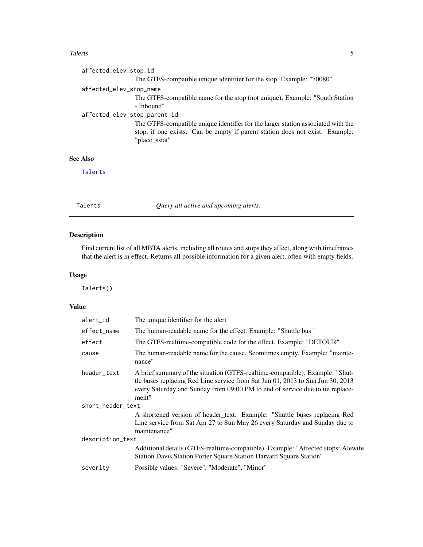#### <span id="page-4-0"></span>Talerts 5

```
affected_elev_stop_id
                  The GTFS-compatible unique identifier for the stop. Example: "70080"
affected_elev_stop_name
                  The GTFS-compatible name for the stop (not unique). Example: "South Station
                  - Inbound"
affected_elev_stop_parent_id
                 The GTFS-compatible unique identifier for the larger station associated with the
                  stop, if one exists. Can be empty if parent station does not exist. Example:
                  "place_sstat"
```
#### See Also

[Talerts](#page-4-1)

<span id="page-4-1"></span>Talerts *Query all active and upcoming alerts.*

#### Description

Find current list of all MBTA alerts, including all routes and stops they affect, along with timeframes that the alert is in effect. Returns all possible information for a given alert, often with empty fields.

#### Usage

Talerts()

| alert_id          | The unique identifier for the alert                                                                                                                                                                                                                      |
|-------------------|----------------------------------------------------------------------------------------------------------------------------------------------------------------------------------------------------------------------------------------------------------|
| effect_name       | The human-readable name for the effect. Example: "Shuttle bus"                                                                                                                                                                                           |
| effect            | The GTFS-realtime-compatible code for the effect. Example: "DETOUR"                                                                                                                                                                                      |
| cause             | The human-readable name for the cause. Seomtimes empty. Example: "mainte-<br>nance"                                                                                                                                                                      |
| header_text       | A brief summary of the situation (GTFS-realtime-compatible). Example: "Shut-<br>tle buses replacing Red Line service from Sat Jun 01, 2013 to Sun Jun 30, 2013<br>every Saturday and Sunday from 09:00 PM to end of service due to tie replace-<br>ment" |
| short header text |                                                                                                                                                                                                                                                          |
|                   | A shortened version of header_text. Example: "Shuttle buses replacing Red<br>Line service from Sat Apr 27 to Sun May 26 every Saturday and Sunday due to<br>maintenance"                                                                                 |
| description_text  |                                                                                                                                                                                                                                                          |
|                   | Additional details (GTFS-realtime-compatible). Example: "Affected stops: Alewife<br>Station Davis Station Porter Square Station Harvard Square Station"                                                                                                  |
| severity          | Possible values: "Severe", "Moderate", "Minor"                                                                                                                                                                                                           |
|                   |                                                                                                                                                                                                                                                          |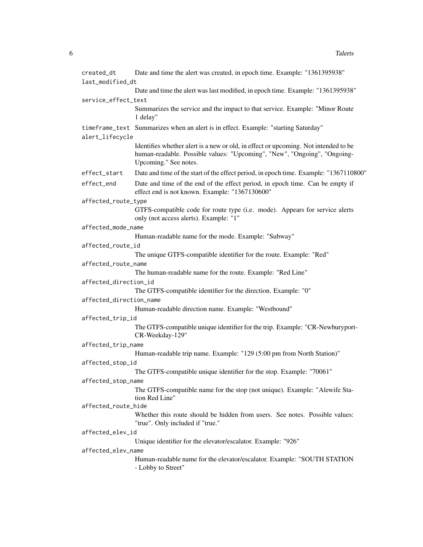| created_dt              | Date and time the alert was created, in epoch time. Example: "1361395938"                                                       |
|-------------------------|---------------------------------------------------------------------------------------------------------------------------------|
| last_modified_dt        |                                                                                                                                 |
|                         | Date and time the alert was last modified, in epoch time. Example: "1361395938"                                                 |
| service_effect_text     |                                                                                                                                 |
|                         | Summarizes the service and the impact to that service. Example: "Minor Route<br>1 delay"                                        |
| alert_lifecycle         | timeframe_text Summarizes when an alert is in effect. Example: "starting Saturday"                                              |
|                         | Identifies whether alert is a new or old, in effect or upcoming. Not intended to be                                             |
|                         | human-readable. Possible values: "Upcoming", "New", "Ongoing", "Ongoing-<br>Upcoming." See notes.                               |
| effect_start            | Date and time of the start of the effect period, in epoch time. Example: "1367110800"                                           |
| effect_end              | Date and time of the end of the effect period, in epoch time. Can be empty if<br>effect end is not known. Example: "1367130600" |
| affected_route_type     |                                                                                                                                 |
|                         | GTFS-compatible code for route type (i.e. mode). Appears for service alerts<br>only (not access alerts). Example: "1"           |
| affected_mode_name      |                                                                                                                                 |
|                         | Human-readable name for the mode. Example: "Subway"                                                                             |
| affected_route_id       |                                                                                                                                 |
|                         | The unique GTFS-compatible identifier for the route. Example: "Red"                                                             |
| affected_route_name     |                                                                                                                                 |
|                         | The human-readable name for the route. Example: "Red Line"                                                                      |
| affected_direction_id   |                                                                                                                                 |
|                         | The GTFS-compatible identifier for the direction. Example: "0"                                                                  |
| affected_direction_name |                                                                                                                                 |
|                         | Human-readable direction name. Example: "Westbound"                                                                             |
| affected_trip_id        |                                                                                                                                 |
|                         | The GTFS-compatible unique identifier for the trip. Example: "CR-Newburyport-<br>CR-Weekday-129"                                |
| affected_trip_name      |                                                                                                                                 |
|                         | Human-readable trip name. Example: "129 (5:00 pm from North Station)"                                                           |
| affected_stop_id        |                                                                                                                                 |
|                         | The GTFS-compatible unique identifier for the stop. Example: "70061"                                                            |
| affected_stop_name      |                                                                                                                                 |
|                         | The GTFS-compatible name for the stop (not unique). Example: "Alewife Sta-<br>tion Red Line"                                    |
| affected_route_hide     |                                                                                                                                 |
|                         | Whether this route should be hidden from users. See notes. Possible values:<br>"true". Only included if "true."                 |
| affected_elev_id        |                                                                                                                                 |
|                         | Unique identifier for the elevator/escalator. Example: "926"                                                                    |
| affected_elev_name      |                                                                                                                                 |
|                         | Human-readable name for the elevator/escalator. Example: "SOUTH STATION<br>- Lobby to Street"                                   |
|                         |                                                                                                                                 |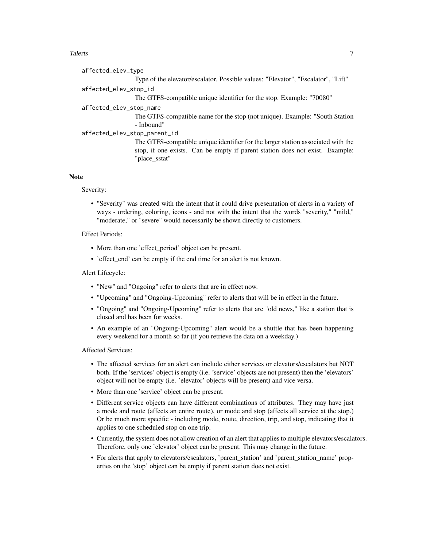#### Talerts **Talerts** 7

| affected_elev_type                                                               |
|----------------------------------------------------------------------------------|
| Type of the elevator/escalator. Possible values: "Elevator", "Escalator", "Lift" |
| affected_elev_stop_id                                                            |
| The GTFS-compatible unique identifier for the stop. Example: "70080"             |
| affected_elev_stop_name                                                          |
| The GTFS-compatible name for the stop (not unique). Example: "South Station      |
| - Inbound"                                                                       |
| affected_elev_stop_parent_id                                                     |
| The GTFS-compatible unique identifier for the larger station associated with the |
| stop, if one exists. Can be empty if parent station does not exist. Example:     |
| "place_sstat"                                                                    |
|                                                                                  |

#### **Note**

Severity:

• "Severity" was created with the intent that it could drive presentation of alerts in a variety of ways - ordering, coloring, icons - and not with the intent that the words "severity," "mild," "moderate," or "severe" would necessarily be shown directly to customers.

Effect Periods:

- More than one 'effect period' object can be present.
- 'effect\_end' can be empty if the end time for an alert is not known.

Alert Lifecycle:

- "New" and "Ongoing" refer to alerts that are in effect now.
- "Upcoming" and "Ongoing-Upcoming" refer to alerts that will be in effect in the future.
- "Ongoing" and "Ongoing-Upcoming" refer to alerts that are "old news," like a station that is closed and has been for weeks.
- An example of an "Ongoing-Upcoming" alert would be a shuttle that has been happening every weekend for a month so far (if you retrieve the data on a weekday.)

Affected Services:

- The affected services for an alert can include either services or elevators/escalators but NOT both. If the 'services' object is empty (i.e. 'service' objects are not present) then the 'elevators' object will not be empty (i.e. 'elevator' objects will be present) and vice versa.
- More than one 'service' object can be present.
- Different service objects can have different combinations of attributes. They may have just a mode and route (affects an entire route), or mode and stop (affects all service at the stop.) Or be much more specific - including mode, route, direction, trip, and stop, indicating that it applies to one scheduled stop on one trip.
- Currently, the system does not allow creation of an alert that applies to multiple elevators/escalators. Therefore, only one 'elevator' object can be present. This may change in the future.
- For alerts that apply to elevators/escalators, 'parent\_station' and 'parent\_station\_name' properties on the 'stop' object can be empty if parent station does not exist.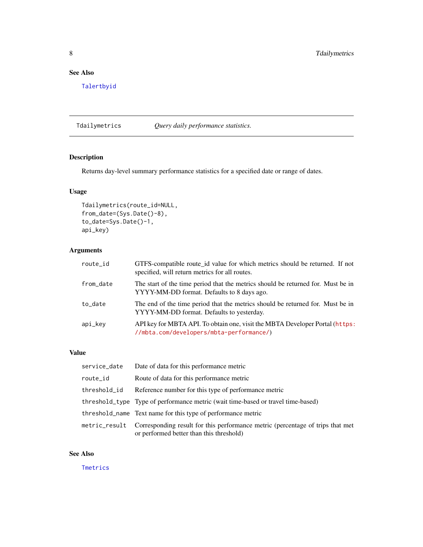#### <span id="page-7-0"></span>See Also

[Talertbyid](#page-2-1)

<span id="page-7-1"></span>Tdailymetrics *Query daily performance statistics.*

# Description

Returns day-level summary performance statistics for a specified date or range of dates.

#### Usage

```
Tdailymetrics(route_id=NULL,
from_date=(Sys.Date()-8),
to_date=Sys.Date()-1,
api_key)
```
#### Arguments

| route_id  | GTFS-compatible route_id value for which metrics should be returned. If not<br>specified, will return metrics for all routes.  |
|-----------|--------------------------------------------------------------------------------------------------------------------------------|
| from_date | The start of the time period that the metrics should be returned for. Must be in<br>YYYY-MM-DD format. Defaults to 8 days ago. |
| to_date   | The end of the time period that the metrics should be returned for. Must be in<br>YYYY-MM-DD format. Defaults to yesterday.    |
| api_key   | API key for MBTA API. To obtain one, visit the MBTA Developer Portal (https:<br>//mbta.com/developers/mbta-performance/)       |

#### Value

| service_date  | Date of data for this performance metric                                                                                   |
|---------------|----------------------------------------------------------------------------------------------------------------------------|
| route_id      | Route of data for this performance metric                                                                                  |
| threshold_id  | Reference number for this type of performance metric                                                                       |
|               | threshold_type Type of performance metric (wait time-based or travel time-based)                                           |
|               | threshold_name Text name for this type of performance metric                                                               |
| metric_result | Corresponding result for this performance metric (percentage of trips that met<br>or performed better than this threshold) |

#### See Also

**[Tmetrics](#page-11-1)**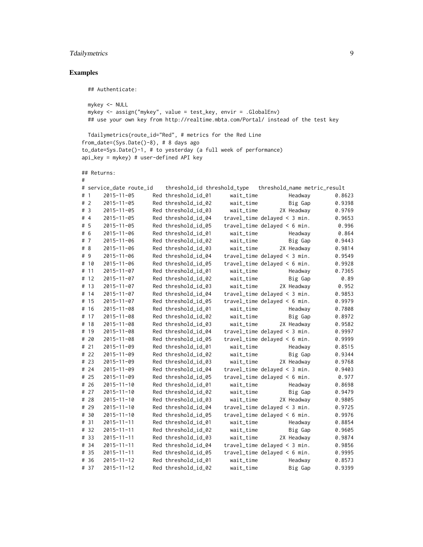# Tdailymetrics 9

# Examples

## Authenticate:

```
mykey <- NULL
mykey <- assign("mykey", value = test_key, envir = .GlobalEnv)
## use your own key from http://realtime.mbta.com/Portal/ instead of the test key
```

```
Tdailymetrics(route_id="Red", # metrics for the Red Line
from_date=(Sys.Date()-8), # 8 days ago
to_date=Sys.Date()-1, # to yesterday (a full week of performance)
api_key = mykey) # user-defined API key
```
## Returns:

#

|       |      | # service_date route_id |                     |           | threshold_id threshold_type threshold_name metric_result |        |
|-------|------|-------------------------|---------------------|-----------|----------------------------------------------------------|--------|
| #1    |      | $2015 - 11 - 05$        | Red threshold_id_01 | wait_time | Headway                                                  | 0.8623 |
| # $2$ |      | $2015 - 11 - 05$        | Red threshold_id_02 | wait_time | Big Gap                                                  | 0.9398 |
| # 3   |      | $2015 - 11 - 05$        | Red threshold_id_03 | wait_time | 2X Headway                                               | 0.9769 |
| #4    |      | $2015 - 11 - 05$        | Red threshold_id_04 |           | travel_time delayed < $3$ min.                           | 0.9653 |
| #5    |      | $2015 - 11 - 05$        | Red threshold_id_05 |           | travel_time delayed < $6$ min.                           | 0.996  |
| # 6   |      | $2015 - 11 - 06$        | Red threshold_id_01 | wait_time | Headway                                                  | 0.864  |
| #7    |      | $2015 - 11 - 06$        | Red threshold_id_02 | wait_time | Big Gap                                                  | 0.9443 |
| # $8$ |      | $2015 - 11 - 06$        | Red threshold_id_03 | wait_time | 2X Headway                                               | 0.9814 |
| # 9   |      | $2015 - 11 - 06$        | Red threshold_id_04 |           | travel_time delayed $\leq$ 3 min.                        | 0.9549 |
|       | # 10 | $2015 - 11 - 06$        | Red threshold_id_05 |           | travel_time delayed $< 6$ min.                           | 0.9928 |
|       | # 11 | $2015 - 11 - 07$        | Red threshold_id_01 | wait_time | Headway                                                  | 0.7365 |
|       | # 12 | $2015 - 11 - 07$        | Red threshold_id_02 | wait_time | Big Gap                                                  | 0.89   |
|       | # 13 | $2015 - 11 - 07$        | Red threshold_id_03 | wait_time | 2X Headway                                               | 0.952  |
|       | # 14 | $2015 - 11 - 07$        | Red threshold_id_04 |           | travel_time delayed $\leq$ 3 min.                        | 0.9853 |
|       | # 15 | $2015 - 11 - 07$        | Red threshold_id_05 |           | travel_time delayed < $6$ min.                           | 0.9979 |
|       | # 16 | $2015 - 11 - 08$        | Red threshold_id_01 | wait_time | Headway                                                  | 0.7808 |
|       | # 17 | $2015 - 11 - 08$        | Red threshold_id_02 | wait_time | Big Gap                                                  | 0.8972 |
|       | # 18 | $2015 - 11 - 08$        | Red threshold_id_03 | wait_time | 2X Headway                                               | 0.9582 |
|       | # 19 | $2015 - 11 - 08$        | Red threshold_id_04 |           | travel_time delayed $\leq$ 3 min.                        | 0.9997 |
|       | # 20 | $2015 - 11 - 08$        | Red threshold_id_05 |           | travel_time delayed < $6$ min.                           | 0.9999 |
|       | # 21 | $2015 - 11 - 09$        | Red threshold_id_01 | wait_time | Headway                                                  | 0.8515 |
|       | # 22 | $2015 - 11 - 09$        | Red threshold_id_02 | wait_time | Big Gap                                                  | 0.9344 |
|       | # 23 | $2015 - 11 - 09$        | Red threshold_id_03 | wait_time | 2X Headway                                               | 0.9768 |
|       | # 24 | $2015 - 11 - 09$        | Red threshold_id_04 |           | travel_time delayed $\leq$ 3 min.                        | 0.9403 |
|       | # 25 | $2015 - 11 - 09$        | Red threshold_id_05 |           | travel_time delayed < $6$ min.                           | 0.977  |
|       | # 26 | $2015 - 11 - 10$        | Red threshold_id_01 | wait_time | Headway                                                  | 0.8698 |
|       | # 27 | $2015 - 11 - 10$        | Red threshold_id_02 | wait_time | Big Gap                                                  | 0.9479 |
|       | # 28 | $2015 - 11 - 10$        | Red threshold_id_03 | wait_time | 2X Headway                                               | 0.9805 |
|       | # 29 | $2015 - 11 - 10$        | Red threshold_id_04 |           | $travel_time$ delayed < 3 min.                           | 0.9725 |
|       | # 30 | $2015 - 11 - 10$        | Red threshold_id_05 |           | travel_time delayed < $6$ min.                           | 0.9976 |
|       | # 31 | $2015 - 11 - 11$        | Red threshold_id_01 | wait_time | Headway                                                  | 0.8854 |
|       | # 32 | $2015 - 11 - 11$        | Red threshold_id_02 | wait_time | Big Gap                                                  | 0.9605 |
|       | # 33 | $2015 - 11 - 11$        | Red threshold_id_03 | wait_time | 2X Headway                                               | 0.9874 |
|       | # 34 | $2015 - 11 - 11$        | Red threshold_id_04 |           | travel_time delayed < $3$ min.                           | 0.9856 |
|       | # 35 | $2015 - 11 - 11$        | Red threshold_id_05 |           | travel_time delayed < $6$ min.                           | 0.9995 |
|       | # 36 | $2015 - 11 - 12$        | Red threshold_id_01 | wait_time | Headway                                                  | 0.8573 |
|       | # 37 | $2015 - 11 - 12$        | Red threshold_id_02 | wait_time | Big Gap                                                  | 0.9399 |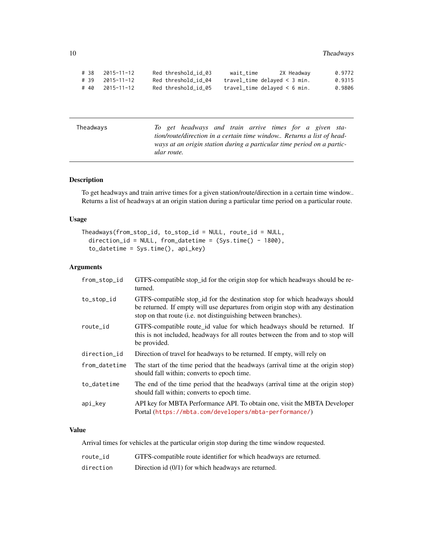<span id="page-9-0"></span>

| # 38 | 2015-11-12 | Red threshold id 03 | wait time                         | 2X Headway | 0.9772 |
|------|------------|---------------------|-----------------------------------|------------|--------|
| # 39 | 2015-11-12 | Red threshold id 04 | travel_time delayed $\leq$ 3 min. |            | 0.9315 |
| # 40 | 2015-11-12 | Red threshold id 05 | travel_time delayed $\leq 6$ min. |            | 0.9806 |

Theadways *To get headways and train arrive times for a given station/route/direction in a certain time window.. Returns a list of headways at an origin station during a particular time period on a particular route.*

#### Description

To get headways and train arrive times for a given station/route/direction in a certain time window.. Returns a list of headways at an origin station during a particular time period on a particular route.

#### Usage

```
Theadways(from_stop_id, to_stop_id = NULL, route_id = NULL,
 direction_id = NULL, from_datatime = (Sys.time() - 1800),to_datetime = Sys.time(), api_key)
```
#### Arguments

| from_stop_id  | GTFS-compatible stop_id for the origin stop for which headways should be re-<br>turned.                                                                                                                                                 |
|---------------|-----------------------------------------------------------------------------------------------------------------------------------------------------------------------------------------------------------------------------------------|
| to_stop_id    | GTFS-compatible stop_id for the destination stop for which headways should<br>be returned. If empty will use departures from origin stop with any destination<br>stop on that route ( <i>i.e.</i> not distinguishing between branches). |
| route_id      | GTFS-compatible route_id value for which headways should be returned. If<br>this is not included, headways for all routes between the from and to stop will<br>be provided.                                                             |
| direction_id  | Direction of travel for headways to be returned. If empty, will rely on                                                                                                                                                                 |
| from_datetime | The start of the time period that the headways (arrival time at the origin stop)<br>should fall within; converts to epoch time.                                                                                                         |
| to_datetime   | The end of the time period that the headways (arrival time at the origin stop)<br>should fall within; converts to epoch time.                                                                                                           |
| api_key       | API key for MBTA Performance API. To obtain one, visit the MBTA Developer<br>Portal (https://mbta.com/developers/mbta-performance/)                                                                                                     |

#### Value

Arrival times for vehicles at the particular origin stop during the time window requested.

| route id | GTFS-compatible route identifier for which headways are returned. |
|----------|-------------------------------------------------------------------|
|          |                                                                   |

direction Direction id (0/1) for which headways are returned.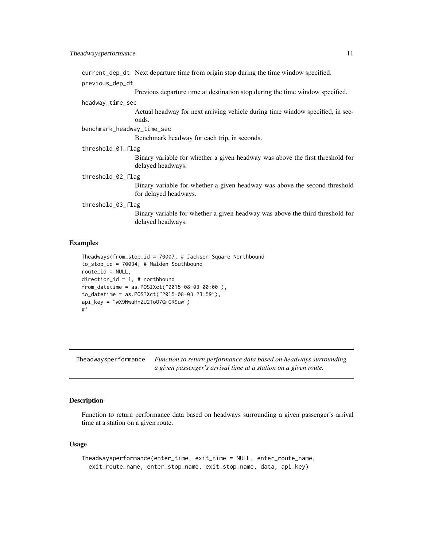<span id="page-10-0"></span>current\_dep\_dt Next departure time from origin stop during the time window specified.

previous\_dep\_dt

Previous departure time at destination stop during the time window specified.

#### headway\_time\_sec

Actual headway for next arriving vehicle during time window specified, in seconds.

benchmark\_headway\_time\_sec

Benchmark headway for each trip, in seconds.

threshold\_01\_flag

Binary variable for whether a given headway was above the first threshold for delayed headways.

#### threshold\_02\_flag

Binary variable for whether a given headway was above the second threshold for delayed headways.

#### threshold\_03\_flag

Binary variable for whether a given headway was above the third threshold for delayed headways.

#### Examples

```
Theadways(from_stop_id = 70007, # Jackson Square Northbound
to_stop_id = 70034, # Malden Southbound
route_id = NULL,direction_id = 1, # northbound
from_datetime = as.POSIXct("2015-08-03 00:00"),
to_datetime = as.POSIXct("2015-08-03 23:59"),
api_key = "wX9NwuHnZU2ToO7GmGR9uw")
#'
```
Theadwaysperformance *Function to return performance data based on headways surrounding a given passenger's arrival time at a station on a given route.*

#### **Description**

Function to return performance data based on headways surrounding a given passenger's arrival time at a station on a given route.

#### Usage

```
Theadwaysperformance(enter_time, exit_time = NULL, enter_route_name,
  exit_route_name, enter_stop_name, exit_stop_name, data, api_key)
```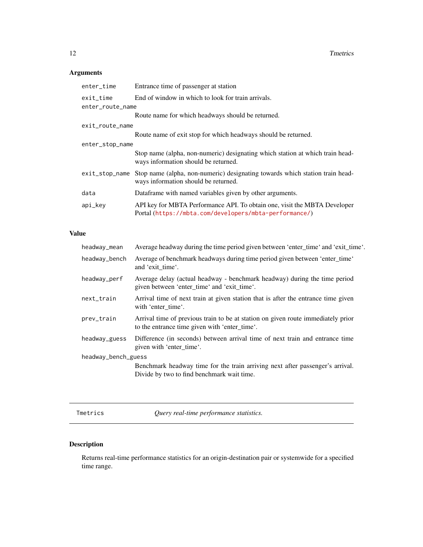# <span id="page-11-0"></span>Arguments

| enter_time       | Entrance time of passenger at station                                                                                               |
|------------------|-------------------------------------------------------------------------------------------------------------------------------------|
| exit_time        | End of window in which to look for train arrivals.                                                                                  |
| enter_route_name |                                                                                                                                     |
|                  | Route name for which headways should be returned.                                                                                   |
| exit_route_name  |                                                                                                                                     |
|                  | Route name of exit stop for which headways should be returned.                                                                      |
| enter_stop_name  |                                                                                                                                     |
|                  | Stop name (alpha, non-numeric) designating which station at which train head-<br>ways information should be returned.               |
| exit_stop_name   | Stop name (alpha, non-numeric) designating towards which station train head-<br>ways information should be returned.                |
| data             | Dataframe with named variables given by other arguments.                                                                            |
| api_key          | API key for MBTA Performance API. To obtain one, visit the MBTA Developer<br>Portal (https://mbta.com/developers/mbta-performance/) |
|                  |                                                                                                                                     |

# Value

| headway_mean        | Average headway during the time period given between 'enter_time' and 'exit_time'.                                                |  |
|---------------------|-----------------------------------------------------------------------------------------------------------------------------------|--|
| headway_bench       | Average of benchmark headways during time period given between 'enter_time'<br>and 'exit time'.                                   |  |
| headway_perf        | Average delay (actual headway - benchmark headway) during the time period<br>given between 'enter_time' and 'exit_time'.          |  |
| next_train          | Arrival time of next train at given station that is after the entrance time given<br>with 'enter_time'.                           |  |
| prev_train          | Arrival time of previous train to be at station on given route immediately prior<br>to the entrance time given with 'enter_time'. |  |
| headway_guess       | Difference (in seconds) between arrival time of next train and entrance time<br>given with 'enter_time'.                          |  |
| headway_bench_guess |                                                                                                                                   |  |
|                     | Benchmark headway time for the train arriving next after passenger's arrival.<br>Divide by two to find benchmark wait time.       |  |
|                     |                                                                                                                                   |  |

<span id="page-11-1"></span>Tmetrics *Query real-time performance statistics.*

# Description

Returns real-time performance statistics for an origin-destination pair or systemwide for a specified time range.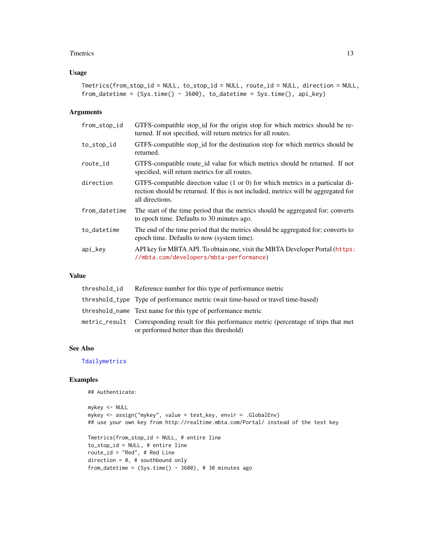#### <span id="page-12-0"></span>Tmetrics 13

#### Usage

```
Tmetrics(from_stop_id = NULL, to_stop_id = NULL, route_id = NULL, direction = NULL,
from_datetime = (Sys.time() - 3600), to_datetime = Sys.time(), api_key)
```
#### Arguments

| from_stop_id  | GTFS-compatible stop_id for the origin stop for which metrics should be re-<br>turned. If not specified, will return metrics for all routes.                                                        |
|---------------|-----------------------------------------------------------------------------------------------------------------------------------------------------------------------------------------------------|
| to_stop_id    | GTFS-compatible stop_id for the destination stop for which metrics should be<br>returned.                                                                                                           |
| route_id      | GTFS-compatible route_id value for which metrics should be returned. If not<br>specified, will return metrics for all routes.                                                                       |
| direction     | GTFS-compatible direction value $(1 \text{ or } 0)$ for which metrics in a particular di-<br>rection should be returned. If this is not included, metrics will be aggregated for<br>all directions. |
| from_datetime | The start of the time period that the metrics should be aggregated for; converts<br>to epoch time. Defaults to 30 minutes ago.                                                                      |
| to_datetime   | The end of the time period that the metrics should be aggregated for; converts to<br>epoch time. Defaults to now (system time).                                                                     |
| api_key       | API key for MBTA API. To obtain one, visit the MBTA Developer Portal (https:<br>//mbta.com/developers/mbta-performance)                                                                             |

#### Value

| threshold_id Reference number for this type of performance metric                                                                        |
|------------------------------------------------------------------------------------------------------------------------------------------|
| threshold_type Type of performance metric (wait time-based or travel time-based)                                                         |
| threshold_name Text name for this type of performance metric                                                                             |
| metric_result Corresponding result for this performance metric (percentage of trips that met<br>or performed better than this threshold) |

#### See Also

[Tdailymetrics](#page-7-1)

#### Examples

## Authenticate:

```
mykey <- NULL
mykey <- assign("mykey", value = test_key, envir = .GlobalEnv)
## use your own key from http://realtime.mbta.com/Portal/ instead of the test key
Tmetrics(from_stop_id = NULL, # entire line
to_stop_id = NULL, # entire line
route_id = "Red", # Red Line
direction = 0, # southbound only
from_datetime = (Sys.time() - 3600), # 30 minutes ago
```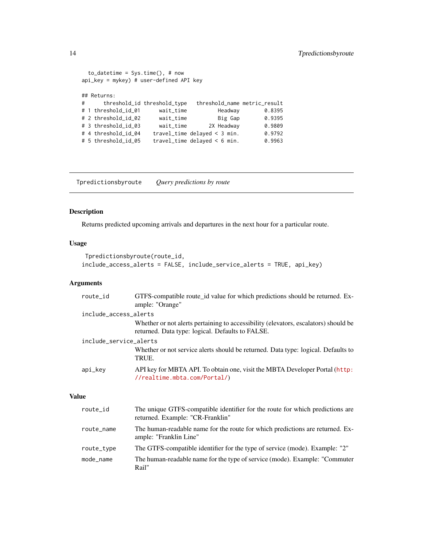```
to_datetime = Sys.time(), # now
api_key = mykey) # user-defined API key
## Returns:
# threshold_id threshold_type threshold_name metric_result
# 1 threshold_id_01 wait_time Headway 0.8395
# 2 threshold_id_02 wait_time Big Gap 0.9395
# 3 threshold_id_03 wait_time 2X Headway 0.9809
# 4 threshold_id_04 travel_time delayed < 3 min. 0.9792
# 5 threshold_id_05 travel_time delayed < 6 min.
```
<span id="page-13-1"></span>Tpredictionsbyroute *Query predictions by route*

# Description

Returns predicted upcoming arrivals and departures in the next hour for a particular route.

#### Usage

```
Tpredictionsbyroute(route_id,
include_access_alerts = FALSE, include_service_alerts = TRUE, api_key)
```
#### Arguments

| route_id               | GTFS-compatible route_id value for which predictions should be returned. Ex-<br>ample: "Orange"                                         |
|------------------------|-----------------------------------------------------------------------------------------------------------------------------------------|
| include_access_alerts  |                                                                                                                                         |
|                        | Whether or not alerts pertaining to accessibility (elevators, escalators) should be<br>returned. Data type: logical. Defaults to FALSE. |
| include_service_alerts |                                                                                                                                         |
|                        | Whether or not service alerts should be returned. Data type: logical. Defaults to<br>TRUE.                                              |
| api_key                | API key for MBTA API. To obtain one, visit the MBTA Developer Portal (http:<br>//realtime.mbta.com/Portal/)                             |

| route_id   | The unique GTFS-compatible identifier for the route for which predictions are<br>returned. Example: "CR-Franklin" |
|------------|-------------------------------------------------------------------------------------------------------------------|
| route_name | The human-readable name for the route for which predictions are returned. Ex-<br>ample: "Franklin Line"           |
| route_type | The GTFS-compatible identifier for the type of service (mode). Example: "2"                                       |
| mode_name  | The human-readable name for the type of service (mode). Example: "Commuter"<br>Rail"                              |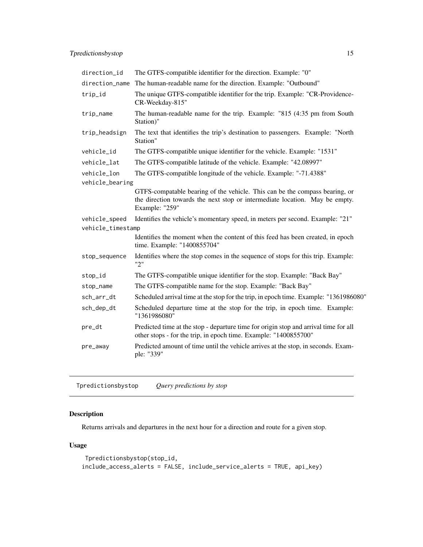<span id="page-14-0"></span>

| direction_id      | The GTFS-compatible identifier for the direction. Example: "0"                                                                                                               |
|-------------------|------------------------------------------------------------------------------------------------------------------------------------------------------------------------------|
| direction_name    | The human-readable name for the direction. Example: "Outbound"                                                                                                               |
| trip_id           | The unique GTFS-compatible identifier for the trip. Example: "CR-Providence-<br>CR-Weekday-815"                                                                              |
| trip_name         | The human-readable name for the trip. Example: "815 (4:35 pm from South<br>Station)"                                                                                         |
| trip_headsign     | The text that identifies the trip's destination to passengers. Example: "North<br>Station"                                                                                   |
| vehicle_id        | The GTFS-compatible unique identifier for the vehicle. Example: "1531"                                                                                                       |
| vehicle_lat       | The GTFS-compatible latitude of the vehicle. Example: "42.08997"                                                                                                             |
| vehicle_lon       | The GTFS-compatible longitude of the vehicle. Example: "-71.4388"                                                                                                            |
| vehicle_bearing   |                                                                                                                                                                              |
|                   | GTFS-compatable bearing of the vehicle. This can be the compass bearing, or<br>the direction towards the next stop or intermediate location. May be empty.<br>Example: "259" |
| vehicle_speed     | Identifies the vehicle's momentary speed, in meters per second. Example: "21"                                                                                                |
| vehicle_timestamp |                                                                                                                                                                              |
|                   | Identifies the moment when the content of this feed has been created, in epoch<br>time. Example: "1400855704"                                                                |
| stop_sequence     | Identifies where the stop comes in the sequence of stops for this trip. Example:<br>"2"                                                                                      |
| stop_id           | The GTFS-compatible unique identifier for the stop. Example: "Back Bay"                                                                                                      |
| stop_name         | The GTFS-compatible name for the stop. Example: "Back Bay"                                                                                                                   |
| sch_arr_dt        | Scheduled arrival time at the stop for the trip, in epoch time. Example: "1361986080"                                                                                        |
| sch_dep_dt        | Scheduled departure time at the stop for the trip, in epoch time. Example:<br>"1361986080"                                                                                   |
| pre_dt            | Predicted time at the stop - departure time for origin stop and arrival time for all<br>other stops - for the trip, in epoch time. Example: "1400855700"                     |
| pre_away          | Predicted amount of time until the vehicle arrives at the stop, in seconds. Exam-<br>ple: "339"                                                                              |

<span id="page-14-1"></span>Tpredictionsbystop *Query predictions by stop*

# Description

Returns arrivals and departures in the next hour for a direction and route for a given stop.

# Usage

```
Tpredictionsbystop(stop_id,
include_access_alerts = FALSE, include_service_alerts = TRUE, api_key)
```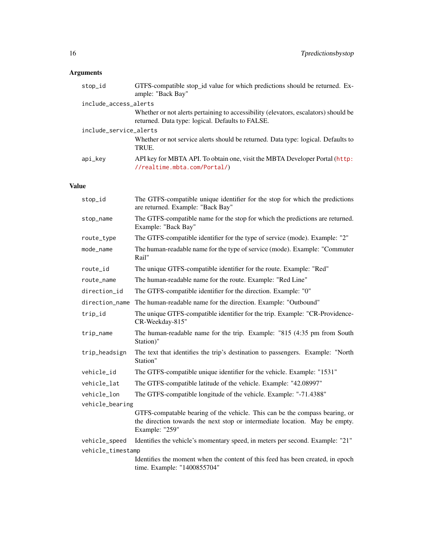# Arguments

| stop_id                | GTFS-compatible stop_id value for which predictions should be returned. Ex-<br>ample: "Back Bay"                                        |
|------------------------|-----------------------------------------------------------------------------------------------------------------------------------------|
| include_access_alerts  |                                                                                                                                         |
|                        | Whether or not alerts pertaining to accessibility (elevators, escalators) should be<br>returned. Data type: logical. Defaults to FALSE. |
| include_service_alerts |                                                                                                                                         |
|                        | Whether or not service alerts should be returned. Data type: logical. Defaults to<br>TRUE.                                              |
| api_kev                | API key for MBTA API. To obtain one, visit the MBTA Developer Portal (http:<br>//realtime.mbta.com/Portal/)                             |

| stop_id           | The GTFS-compatible unique identifier for the stop for which the predictions<br>are returned. Example: "Back Bay"                                                            |
|-------------------|------------------------------------------------------------------------------------------------------------------------------------------------------------------------------|
| stop_name         | The GTFS-compatible name for the stop for which the predictions are returned.<br>Example: "Back Bay"                                                                         |
| route_type        | The GTFS-compatible identifier for the type of service (mode). Example: "2"                                                                                                  |
| mode_name         | The human-readable name for the type of service (mode). Example: "Commuter<br>Rail"                                                                                          |
| route_id          | The unique GTFS-compatible identifier for the route. Example: "Red"                                                                                                          |
| route_name        | The human-readable name for the route. Example: "Red Line"                                                                                                                   |
| direction_id      | The GTFS-compatible identifier for the direction. Example: "0"                                                                                                               |
| direction_name    | The human-readable name for the direction. Example: "Outbound"                                                                                                               |
| trip_id           | The unique GTFS-compatible identifier for the trip. Example: "CR-Providence-<br>CR-Weekday-815"                                                                              |
| trip_name         | The human-readable name for the trip. Example: "815 (4:35 pm from South<br>Station)"                                                                                         |
| trip_headsign     | The text that identifies the trip's destination to passengers. Example: "North<br>Station"                                                                                   |
| vehicle_id        | The GTFS-compatible unique identifier for the vehicle. Example: "1531"                                                                                                       |
| vehicle_lat       | The GTFS-compatible latitude of the vehicle. Example: "42.08997"                                                                                                             |
| vehicle_lon       | The GTFS-compatible longitude of the vehicle. Example: "-71.4388"                                                                                                            |
| vehicle_bearing   |                                                                                                                                                                              |
|                   | GTFS-compatable bearing of the vehicle. This can be the compass bearing, or<br>the direction towards the next stop or intermediate location. May be empty.<br>Example: "259" |
| vehicle_speed     | Identifies the vehicle's momentary speed, in meters per second. Example: "21"                                                                                                |
| vehicle_timestamp |                                                                                                                                                                              |
|                   | Identifies the moment when the content of this feed has been created, in epoch<br>time. Example: "1400855704"                                                                |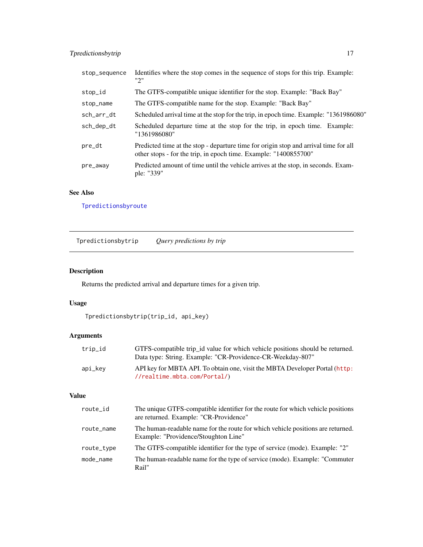# <span id="page-16-0"></span>Tpredictionsbytrip 17

| stop_sequence | Identifies where the stop comes in the sequence of stops for this trip. Example:<br>יי?"                                                                 |
|---------------|----------------------------------------------------------------------------------------------------------------------------------------------------------|
| stop_id       | The GTFS-compatible unique identifier for the stop. Example: "Back Bay"                                                                                  |
| stop_name     | The GTFS-compatible name for the stop. Example: "Back Bay"                                                                                               |
| sch_arr_dt    | Scheduled arrival time at the stop for the trip, in epoch time. Example: "1361986080"                                                                    |
| sch_dep_dt    | Scheduled departure time at the stop for the trip, in epoch time. Example:<br>"1361986080"                                                               |
| pre_dt        | Predicted time at the stop - departure time for origin stop and arrival time for all<br>other stops - for the trip, in epoch time. Example: "1400855700" |
| pre_away      | Predicted amount of time until the vehicle arrives at the stop, in seconds. Exam-<br>ple: "339"                                                          |

# See Also

[Tpredictionsbyroute](#page-13-1)

<span id="page-16-1"></span>Tpredictionsbytrip *Query predictions by trip*

# Description

Returns the predicted arrival and departure times for a given trip.

#### Usage

```
Tpredictionsbytrip(trip_id, api_key)
```
# Arguments

| trip_id | GTFS-compatible trip id value for which vehicle positions should be returned. |
|---------|-------------------------------------------------------------------------------|
|         | Data type: String. Example: "CR-Providence-CR-Weekday-807"                    |
| api_kev | API key for MBTA API. To obtain one, visit the MBTA Developer Portal (http:   |
|         | $//\text{realtime.mbta.com/Partial}/$                                         |

| route_id   | The unique GTFS-compatible identifier for the route for which vehicle positions<br>are returned. Example: "CR-Providence" |
|------------|---------------------------------------------------------------------------------------------------------------------------|
| route_name | The human-readable name for the route for which vehicle positions are returned.<br>Example: "Providence/Stoughton Line"   |
| route_type | The GTFS-compatible identifier for the type of service (mode). Example: "2"                                               |
| mode name  | The human-readable name for the type of service (mode). Example: "Commuter"<br>Rail"                                      |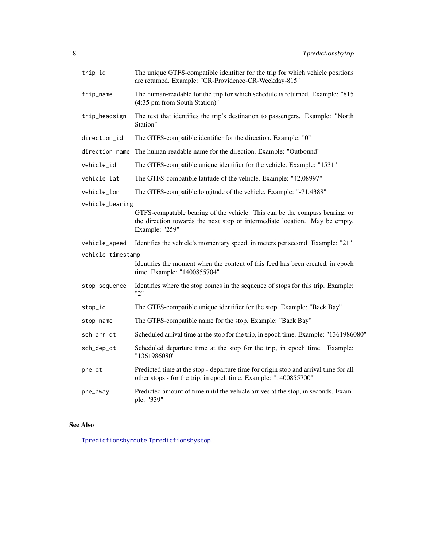<span id="page-17-0"></span>

| trip_id           | The unique GTFS-compatible identifier for the trip for which vehicle positions<br>are returned. Example: "CR-Providence-CR-Weekday-815"                                      |  |  |
|-------------------|------------------------------------------------------------------------------------------------------------------------------------------------------------------------------|--|--|
| trip_name         | The human-readable for the trip for which schedule is returned. Example: "815<br>(4:35 pm from South Station)"                                                               |  |  |
| trip_headsign     | The text that identifies the trip's destination to passengers. Example: "North<br>Station"                                                                                   |  |  |
| direction_id      | The GTFS-compatible identifier for the direction. Example: "0"                                                                                                               |  |  |
| direction_name    | The human-readable name for the direction. Example: "Outbound"                                                                                                               |  |  |
| vehicle_id        | The GTFS-compatible unique identifier for the vehicle. Example: "1531"                                                                                                       |  |  |
| vehicle_lat       | The GTFS-compatible latitude of the vehicle. Example: "42.08997"                                                                                                             |  |  |
| vehicle_lon       | The GTFS-compatible longitude of the vehicle. Example: "-71.4388"                                                                                                            |  |  |
| vehicle_bearing   | GTFS-compatable bearing of the vehicle. This can be the compass bearing, or<br>the direction towards the next stop or intermediate location. May be empty.<br>Example: "259" |  |  |
| vehicle_speed     | Identifies the vehicle's momentary speed, in meters per second. Example: "21"                                                                                                |  |  |
| vehicle_timestamp | Identifies the moment when the content of this feed has been created, in epoch<br>time. Example: "1400855704"                                                                |  |  |
| stop_sequence     | Identifies where the stop comes in the sequence of stops for this trip. Example:<br>"2"                                                                                      |  |  |
| stop_id           | The GTFS-compatible unique identifier for the stop. Example: "Back Bay"                                                                                                      |  |  |
| stop_name         | The GTFS-compatible name for the stop. Example: "Back Bay"                                                                                                                   |  |  |
| sch_arr_dt        | Scheduled arrival time at the stop for the trip, in epoch time. Example: "1361986080"                                                                                        |  |  |
| sch_dep_dt        | Scheduled departure time at the stop for the trip, in epoch time. Example:<br>"1361986080"                                                                                   |  |  |
| pre_dt            | Predicted time at the stop - departure time for origin stop and arrival time for all<br>other stops - for the trip, in epoch time. Example: "1400855700"                     |  |  |
| pre_away          | Predicted amount of time until the vehicle arrives at the stop, in seconds. Exam-<br>ple: "339"                                                                              |  |  |

#### See Also

[Tpredictionsbyroute](#page-13-1) [Tpredictionsbystop](#page-14-1)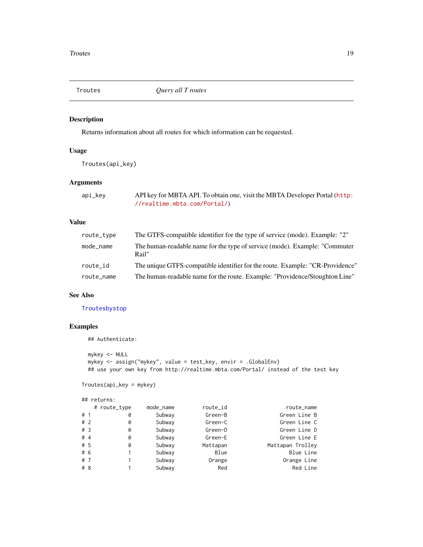<span id="page-18-1"></span><span id="page-18-0"></span>

#### Description

Returns information about all routes for which information can be requested.

#### Usage

Troutes(api\_key)

#### Arguments

| api_key | API key for MBTA API. To obtain one, visit the MBTA Developer Portal (http: |
|---------|-----------------------------------------------------------------------------|
|         | //realtime.mbta.com/Portal/)                                                |

# Value

| route_type | The GTFS-compatible identifier for the type of service (mode). Example: "2"          |
|------------|--------------------------------------------------------------------------------------|
| mode_name  | The human-readable name for the type of service (mode). Example: "Commuter"<br>Rail" |
| route id   | The unique GTFS-compatible identifier for the route. Example: "CR-Providence"        |
| route_name | The human-readable name for the route. Example: "Providence/Stoughton Line"          |

#### See Also

#### [Troutesbystop](#page-19-1)

# Examples

```
## Authenticate:
```

```
mykey <- NULL
mykey <- assign("mykey", value = test_key, envir = .GlobalEnv)
## use your own key from http://realtime.mbta.com/Portal/ instead of the test key
```
Troutes(api\_key = mykey)

## returns:

|       |  | # route_type | mode_name | route_id | route_name       |
|-------|--|--------------|-----------|----------|------------------|
| #1    |  | 0            | Subway    | Green-B  | Green Line B     |
| #2    |  | 0            | Subway    | Green-C  | Green Line C     |
| #3    |  | 0            | Subway    | Green-D  | Green Line D     |
| #4    |  | 0            | Subway    | Green-E  | Green Line E     |
| # 5   |  | 0            | Subway    | Mattapan | Mattapan Trolley |
| # 6   |  |              | Subway    | Blue     | Blue Line        |
| # $7$ |  |              | Subway    | Orange   | Orange Line      |
| # 8   |  |              | Subway    | Red      | Red Line         |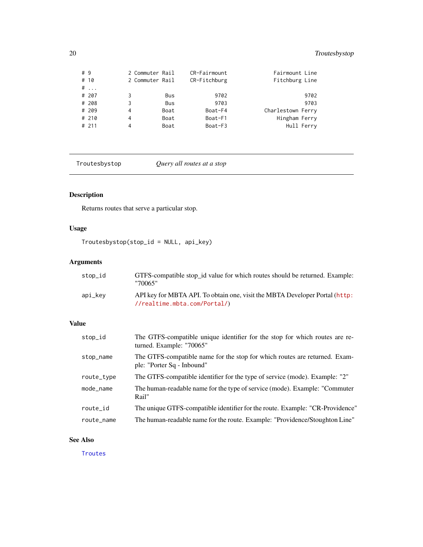<span id="page-19-0"></span>

| # 9 | # 10<br>$\#$ |   | 2 Commuter Rail<br>2 Commuter Rail |            | CR-Fairmount<br>CR-Fitchburg | Fairmount Line<br>Fitchburg Line |            |
|-----|--------------|---|------------------------------------|------------|------------------------------|----------------------------------|------------|
|     | # 207        | 3 |                                    | Bus        | 9702                         |                                  | 9702       |
|     | # 208        | 3 |                                    | <b>Bus</b> | 9703                         |                                  | 9703       |
|     | # 209        | 4 |                                    | Boat       | Boat-F4                      | Charlestown Ferry                |            |
|     | # 210        | 4 |                                    | Boat       | Boat-F1                      | Hingham Ferry                    |            |
|     | # 211        | 4 |                                    | Boat       | Boat-F3                      |                                  | Hull Ferry |

<span id="page-19-1"></span>Troutesbystop *Query all routes at a stop*

# Description

Returns routes that serve a particular stop.

# Usage

Troutesbystop(stop\_id = NULL, api\_key)

# Arguments

| stop_id | GTFS-compatible stop id value for which routes should be returned. Example:<br>"70065"                      |
|---------|-------------------------------------------------------------------------------------------------------------|
| api_kev | API key for MBTA API. To obtain one, visit the MBTA Developer Portal (http:<br>//realtime.mbta.com/Portal/) |

#### Value

| stop_id    | The GTFS-compatible unique identifier for the stop for which routes are re-<br>turned. Example: "70065"  |
|------------|----------------------------------------------------------------------------------------------------------|
| stop_name  | The GTFS-compatible name for the stop for which routes are returned. Exam-<br>ple: "Porter Sq - Inbound" |
| route_type | The GTFS-compatible identifier for the type of service (mode). Example: "2"                              |
| mode_name  | The human-readable name for the type of service (mode). Example: "Commuter"<br>Rail"                     |
| route_id   | The unique GTFS-compatible identifier for the route. Example: "CR-Providence"                            |
| route_name | The human-readable name for the route. Example: "Providence/Stoughton Line"                              |

#### See Also

**[Troutes](#page-18-1)**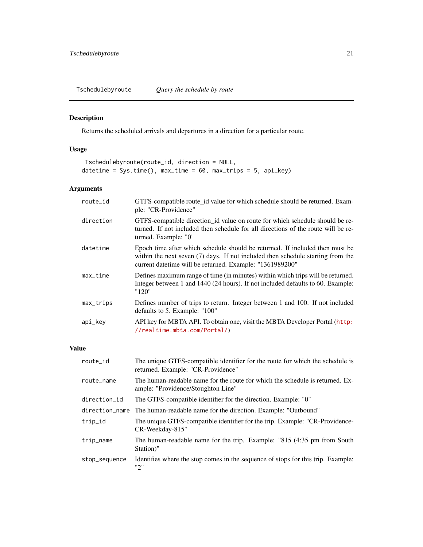<span id="page-20-1"></span><span id="page-20-0"></span>Tschedulebyroute *Query the schedule by route*

# Description

Returns the scheduled arrivals and departures in a direction for a particular route.

# Usage

```
Tschedulebyroute(route_id, direction = NULL,
datetime = Sys.time(), max_time = 60, max_trips = 5, api_key)
```
#### Arguments

| route_id   | GTFS-compatible route_id value for which schedule should be returned. Exam-<br>ple: "CR-Providence"                                                                                                                          |
|------------|------------------------------------------------------------------------------------------------------------------------------------------------------------------------------------------------------------------------------|
| direction  | GTFS-compatible direction_id value on route for which schedule should be re-<br>turned. If not included then schedule for all directions of the route will be re-<br>turned. Example: "0"                                    |
| datetime   | Epoch time after which schedule should be returned. If included then must be<br>within the next seven (7) days. If not included then schedule starting from the<br>current date time will be returned. Example: "1361989200" |
| $max_time$ | Defines maximum range of time (in minutes) within which trips will be returned.<br>Integer between 1 and 1440 (24 hours). If not included defaults to 60. Example:<br>"120"                                                  |
| max_trips  | Defines number of trips to return. Integer between 1 and 100. If not included<br>defaults to 5. Example: "100"                                                                                                               |
| api_key    | API key for MBTA API. To obtain one, visit the MBTA Developer Portal (http:<br>//realtime.mbta.com/Portal/)                                                                                                                  |

| route_id       | The unique GTFS-compatible identifier for the route for which the schedule is<br>returned. Example: "CR-Providence" |
|----------------|---------------------------------------------------------------------------------------------------------------------|
| route_name     | The human-readable name for the route for which the schedule is returned. Ex-<br>ample: "Providence/Stoughton Line" |
| direction_id   | The GTFS-compatible identifier for the direction. Example: "0"                                                      |
| direction name | The human-readable name for the direction. Example: "Outbound"                                                      |
| trip_id        | The unique GTFS-compatible identifier for the trip. Example: "CR-Providence-<br>CR-Weekday-815"                     |
| trip_name      | The human-readable name for the trip. Example: "815 (4:35 pm from South<br>Station)"                                |
| stop_sequence  | Identifies where the stop comes in the sequence of stops for this trip. Example:<br>"2"                             |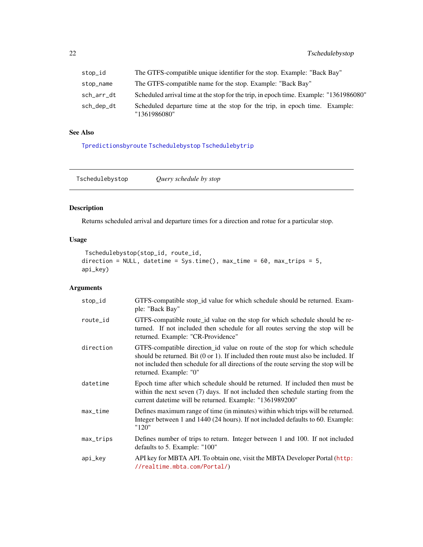<span id="page-21-0"></span>

| stop_id    | The GTFS-compatible unique identifier for the stop. Example: "Back Bay"                    |
|------------|--------------------------------------------------------------------------------------------|
| stop_name  | The GTFS-compatible name for the stop. Example: "Back Bay"                                 |
| sch_arr_dt | Scheduled arrival time at the stop for the trip, in epoch time. Example: "1361986080"      |
| sch_dep_dt | Scheduled departure time at the stop for the trip, in epoch time. Example:<br>"1361986080" |

#### See Also

[Tpredictionsbyroute](#page-13-1) [Tschedulebystop](#page-21-1) [Tschedulebytrip](#page-22-1)

<span id="page-21-1"></span>Tschedulebystop *Query schedule by stop*

#### Description

Returns scheduled arrival and departure times for a direction and rotue for a particular stop.

#### Usage

```
Tschedulebystop(stop_id, route_id,
direction = NULL, datetime = Sys.time(), max_time = 60, max_trips = 5,
api_key)
```
#### Arguments

| stop_id   | GTFS-compatible stop_id value for which schedule should be returned. Exam-<br>ple: "Back Bay"                                                                                                                                                                                                 |
|-----------|-----------------------------------------------------------------------------------------------------------------------------------------------------------------------------------------------------------------------------------------------------------------------------------------------|
| route_id  | GTFS-compatible route id value on the stop for which schedule should be re-<br>turned. If not included then schedule for all routes serving the stop will be<br>returned. Example: "CR-Providence"                                                                                            |
| direction | GTFS-compatible direction_id value on route of the stop for which schedule<br>should be returned. Bit $(0 \text{ or } 1)$ . If included then route must also be included. If<br>not included then schedule for all directions of the route serving the stop will be<br>returned. Example: "0" |
| datetime  | Epoch time after which schedule should be returned. If included then must be<br>within the next seven (7) days. If not included then schedule starting from the<br>current datetime will be returned. Example: "1361989200"                                                                   |
| max_time  | Defines maximum range of time (in minutes) within which trips will be returned.<br>Integer between 1 and 1440 (24 hours). If not included defaults to 60. Example:<br>"120"                                                                                                                   |
| max_trips | Defines number of trips to return. Integer between 1 and 100. If not included<br>defaults to 5. Example: "100"                                                                                                                                                                                |
| api_key   | API key for MBTA API. To obtain one, visit the MBTA Developer Portal (http:<br>//realtime.mbta.com/Portal/)                                                                                                                                                                                   |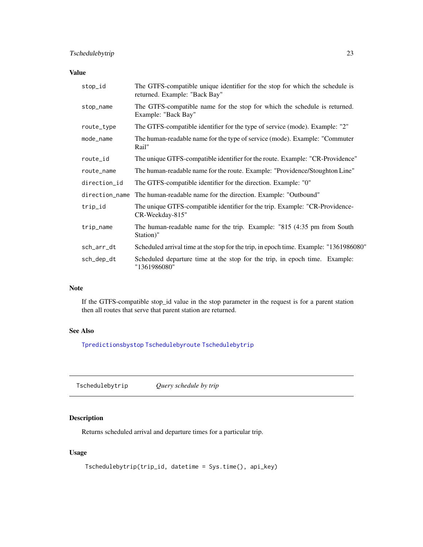#### <span id="page-22-0"></span>Value

| stop_id        | The GTFS-compatible unique identifier for the stop for which the schedule is<br>returned. Example: "Back Bay" |
|----------------|---------------------------------------------------------------------------------------------------------------|
| stop_name      | The GTFS-compatible name for the stop for which the schedule is returned.<br>Example: "Back Bay"              |
| route_type     | The GTFS-compatible identifier for the type of service (mode). Example: "2"                                   |
| mode_name      | The human-readable name for the type of service (mode). Example: "Commuter<br>Rail"                           |
| route_id       | The unique GTFS-compatible identifier for the route. Example: "CR-Providence"                                 |
| route_name     | The human-readable name for the route. Example: "Providence/Stoughton Line"                                   |
| direction_id   | The GTFS-compatible identifier for the direction. Example: "0"                                                |
| direction_name | The human-readable name for the direction. Example: "Outbound"                                                |
| trip_id        | The unique GTFS-compatible identifier for the trip. Example: "CR-Providence-<br>CR-Weekday-815"               |
| trip_name      | The human-readable name for the trip. Example: "815 (4:35 pm from South<br>Station)"                          |
| sch_arr_dt     | Scheduled arrival time at the stop for the trip, in epoch time. Example: "1361986080"                         |
| sch_dep_dt     | Scheduled departure time at the stop for the trip, in epoch time. Example:<br>"1361986080"                    |

#### Note

If the GTFS-compatible stop\_id value in the stop parameter in the request is for a parent station then all routes that serve that parent station are returned.

#### See Also

[Tpredictionsbystop](#page-14-1) [Tschedulebyroute](#page-20-1) [Tschedulebytrip](#page-22-1)

<span id="page-22-1"></span>Tschedulebytrip *Query schedule by trip*

# Description

Returns scheduled arrival and departure times for a particular trip.

#### Usage

```
Tschedulebytrip(trip_id, datetime = Sys.time(), api_key)
```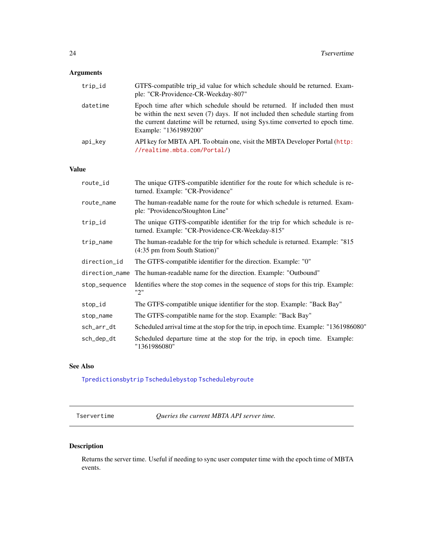#### <span id="page-23-0"></span>Arguments

| trip_id  | GTFS-compatible trip_id value for which schedule should be returned. Exam-<br>ple: "CR-Providence-CR-Weekday-807"                                                                                                                                                      |
|----------|------------------------------------------------------------------------------------------------------------------------------------------------------------------------------------------------------------------------------------------------------------------------|
| datetime | Epoch time after which schedule should be returned. If included then must<br>be within the next seven (7) days. If not included then schedule starting from<br>the current date time will be returned, using Systime converted to epoch time.<br>Example: "1361989200" |
| api_kev  | API key for MBTA API. To obtain one, visit the MBTA Developer Portal (http:<br>//realtime.mbta.com/Portal/)                                                                                                                                                            |

#### Value

| route_id       | The unique GTFS-compatible identifier for the route for which schedule is re-<br>turned. Example: "CR-Providence"               |
|----------------|---------------------------------------------------------------------------------------------------------------------------------|
| route_name     | The human-readable name for the route for which schedule is returned. Exam-<br>ple: "Providence/Stoughton Line"                 |
| trip_id        | The unique GTFS-compatible identifier for the trip for which schedule is re-<br>turned. Example: "CR-Providence-CR-Weekday-815" |
| trip_name      | The human-readable for the trip for which schedule is returned. Example: "815"<br>(4:35 pm from South Station)"                 |
| direction_id   | The GTFS-compatible identifier for the direction. Example: "0"                                                                  |
| direction_name | The human-readable name for the direction. Example: "Outbound"                                                                  |
| stop_sequence  | Identifies where the stop comes in the sequence of stops for this trip. Example:<br>"2"                                         |
| stop_id        | The GTFS-compatible unique identifier for the stop. Example: "Back Bay"                                                         |
| stop_name      | The GTFS-compatible name for the stop. Example: "Back Bay"                                                                      |
| sch_arr_dt     | Scheduled arrival time at the stop for the trip, in epoch time. Example: "1361986080"                                           |
| sch_dep_dt     | Scheduled departure time at the stop for the trip, in epoch time. Example:<br>"1361986080"                                      |

#### See Also

[Tpredictionsbytrip](#page-16-1) [Tschedulebystop](#page-21-1) [Tschedulebyroute](#page-20-1)

Tservertime *Queries the current MBTA API server time.*

# Description

Returns the server time. Useful if needing to sync user computer time with the epoch time of MBTA events.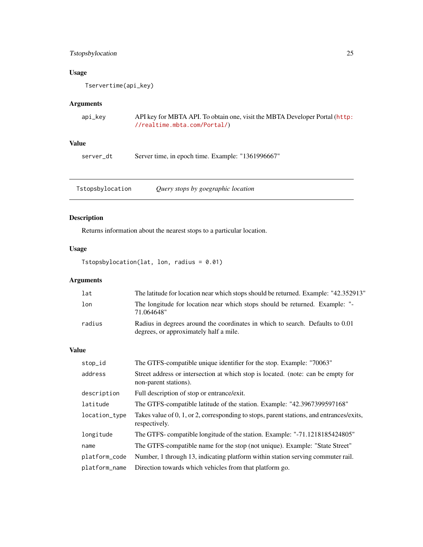# <span id="page-24-0"></span>Tstopsbylocation 25

#### Usage

Tservertime(api\_key)

#### Arguments

| api_key | API key for MBTA API. To obtain one, visit the MBTA Developer Portal (http: |
|---------|-----------------------------------------------------------------------------|
|         | //realtime.mbta.com/Portal/)                                                |

# Value

server\_dt Server time, in epoch time. Example: "1361996667"

Tstopsbylocation *Query stops by goegraphic location*

# Description

Returns information about the nearest stops to a particular location.

#### Usage

Tstopsbylocation(lat, lon, radius = 0.01)

# Arguments

| lat    | The latitude for location near which stops should be returned. Example: "42.352913"                                     |
|--------|-------------------------------------------------------------------------------------------------------------------------|
| lon    | The longitude for location near which stops should be returned. Example: "-<br>71.064648"                               |
| radius | Radius in degrees around the coordinates in which to search. Defaults to 0.01<br>degrees, or approximately half a mile. |

| stop_id       | The GTFS-compatible unique identifier for the stop. Example: "70063"                                      |
|---------------|-----------------------------------------------------------------------------------------------------------|
| address       | Street address or intersection at which stop is located. (note: can be empty for<br>non-parent stations). |
| description   | Full description of stop or entrance/exit.                                                                |
| latitude      | The GTFS-compatible latitude of the station. Example: "42.3967399597168"                                  |
| location_type | Takes value of 0, 1, or 2, corresponding to stops, parent stations, and entrances/exits,<br>respectively. |
| longitude     | The GTFS-compatible longitude of the station. Example: "-71.1218185424805"                                |
| name          | The GTFS-compatible name for the stop (not unique). Example: "State Street"                               |
| platform_code | Number, 1 through 13, indicating platform within station serving commuter rail.                           |
| platform_name | Direction towards which vehicles from that platform go.                                                   |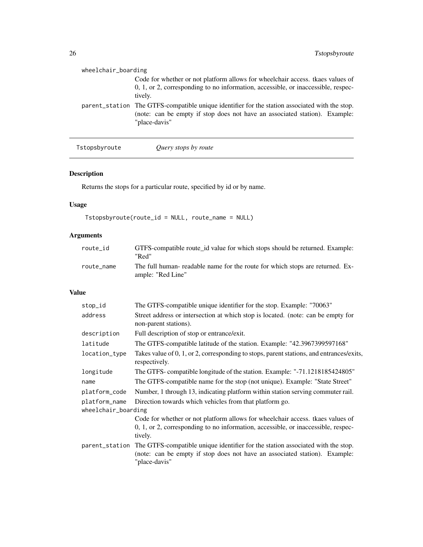<span id="page-25-0"></span>

| wheelchair_boarding |                                                                                                                                                                                               |
|---------------------|-----------------------------------------------------------------------------------------------------------------------------------------------------------------------------------------------|
|                     | Code for whether or not platform allows for wheelchair access, tkaes values of<br>0, 1, or 2, corresponding to no information, accessible, or inaccessible, respec-<br>tively.                |
|                     | parent_station The GTFS-compatible unique identifier for the station associated with the stop.<br>(note: can be empty if stop does not have an associated station). Example:<br>"place-davis" |

| Tstopsbyroute | Query stops by route |  |
|---------------|----------------------|--|
|---------------|----------------------|--|

# Description

Returns the stops for a particular route, specified by id or by name.

# Usage

Tstopsbyroute(route\_id = NULL, route\_name = NULL)

# Arguments

| route id   | GTFS-compatible route id value for which stops should be returned. Example:<br>"Red"               |
|------------|----------------------------------------------------------------------------------------------------|
| route name | The full human- readable name for the route for which stops are returned. Ex-<br>ample: "Red Line" |

| stop_id             | The GTFS-compatible unique identifier for the stop. Example: "70063"                                                                                                                          |  |
|---------------------|-----------------------------------------------------------------------------------------------------------------------------------------------------------------------------------------------|--|
| address             | Street address or intersection at which stop is located. (note: can be empty for<br>non-parent stations).                                                                                     |  |
| description         | Full description of stop or entrance/exit.                                                                                                                                                    |  |
| latitude            | The GTFS-compatible latitude of the station. Example: "42.3967399597168"                                                                                                                      |  |
| location_type       | Takes value of 0, 1, or 2, corresponding to stops, parent stations, and entrances/exits,<br>respectively.                                                                                     |  |
| longitude           | The GTFS- compatible longitude of the station. Example: "-71.1218185424805"                                                                                                                   |  |
| name                | The GTFS-compatible name for the stop (not unique). Example: "State Street"                                                                                                                   |  |
| platform_code       | Number, 1 through 13, indicating platform within station serving commuter rail.                                                                                                               |  |
| platform_name       | Direction towards which vehicles from that platform go.                                                                                                                                       |  |
| wheelchair_boarding |                                                                                                                                                                                               |  |
|                     | Code for whether or not platform allows for wheelchair access, tkaes values of<br>0, 1, or 2, corresponding to no information, accessible, or inaccessible, respec-<br>tively.                |  |
|                     | parent_station The GTFS-compatible unique identifier for the station associated with the stop.<br>(note: can be empty if stop does not have an associated station). Example:<br>"place-davis" |  |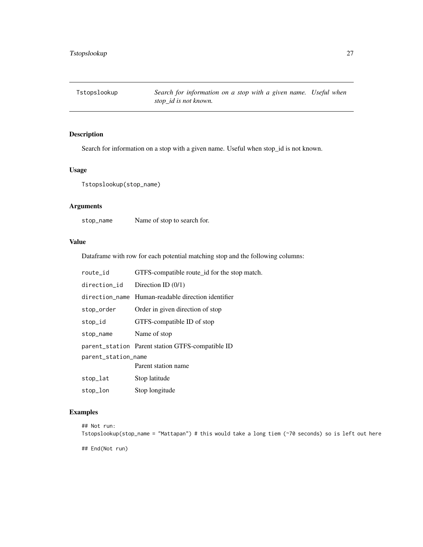<span id="page-26-0"></span>Tstopslookup *Search for information on a stop with a given name. Useful when stop\_id is not known.*

#### Description

Search for information on a stop with a given name. Useful when stop\_id is not known.

#### Usage

Tstopslookup(stop\_name)

#### Arguments

stop\_name Name of stop to search for.

#### Value

Dataframe with row for each potential matching stop and the following columns:

| route_id            | GTFS-compatible route_id for the stop match.     |  |
|---------------------|--------------------------------------------------|--|
| direction_id        | Direction ID $(0/1)$                             |  |
| direction name      | Human-readable direction identifier              |  |
| stop_order          | Order in given direction of stop                 |  |
| stop_id             | GTFS-compatible ID of stop                       |  |
| stop_name           | Name of stop                                     |  |
|                     | parent_station Parent station GTFS-compatible ID |  |
| parent_station_name |                                                  |  |
|                     | Parent station name                              |  |
| stop_lat            | Stop latitude                                    |  |
| stop_lon            | Stop longitude                                   |  |

#### Examples

```
## Not run:
Tstopslookup(stop_name = "Mattapan") # this would take a long tiem (~70 seconds) so is left out here
## End(Not run)
```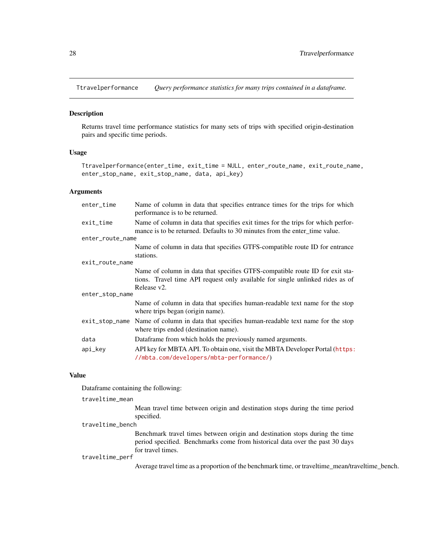<span id="page-27-0"></span>Ttravelperformance *Query performance statistics for many trips contained in a dataframe.*

# Description

Returns travel time performance statistics for many sets of trips with specified origin-destination pairs and specific time periods.

# Usage

```
Ttravelperformance(enter_time, exit_time = NULL, enter_route_name, exit_route_name,
enter_stop_name, exit_stop_name, data, api_key)
```
#### Arguments

| enter_time       | Name of column in data that specifies entrance times for the trips for which<br>performance is to be returned.                                                               |  |
|------------------|------------------------------------------------------------------------------------------------------------------------------------------------------------------------------|--|
| exit_time        | Name of column in data that specifies exit times for the trips for which perfor-<br>mance is to be returned. Defaults to 30 minutes from the enter_time value.               |  |
| enter_route_name |                                                                                                                                                                              |  |
|                  | Name of column in data that specifies GTFS-compatible route ID for entrance<br>stations.                                                                                     |  |
| exit_route_name  |                                                                                                                                                                              |  |
|                  | Name of column in data that specifies GTFS-compatible route ID for exit sta-<br>tions. Travel time API request only available for single unlinked rides as of<br>Release v2. |  |
| enter_stop_name  |                                                                                                                                                                              |  |
|                  | Name of column in data that specifies human-readable text name for the stop<br>where trips began (origin name).                                                              |  |
|                  | exit_stop_name Name of column in data that specifies human-readable text name for the stop<br>where trips ended (destination name).                                          |  |
| data             | Dataframe from which holds the previously named arguments.                                                                                                                   |  |
| api_key          | API key for MBTA API. To obtain one, visit the MBTA Developer Portal (https:<br>//mbta.com/developers/mbta-performance/)                                                     |  |

#### Value

Dataframe containing the following:

| traveltime_mean  |                                                                                                                                                                                  |
|------------------|----------------------------------------------------------------------------------------------------------------------------------------------------------------------------------|
|                  | Mean travel time between origin and destination stops during the time period<br>specified.                                                                                       |
| traveltime_bench |                                                                                                                                                                                  |
|                  | Benchmark travel times between origin and destination stops during the time<br>period specified. Benchmarks come from historical data over the past 30 days<br>for travel times. |
| traveltime_perf  |                                                                                                                                                                                  |
|                  | Average travel time as a proportion of the benchmark time, or traveltime_mean/traveltime_bench.                                                                                  |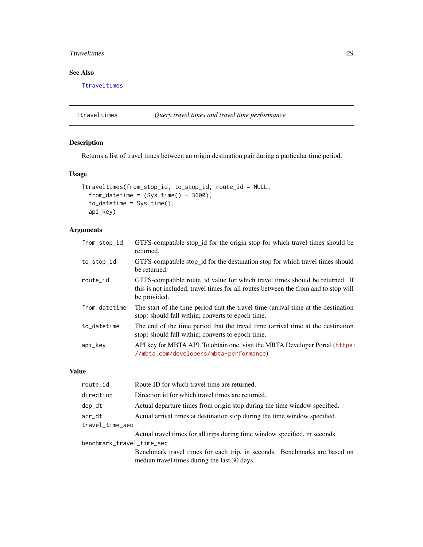#### <span id="page-28-0"></span>The Theorem 29

#### See Also

[Ttraveltimes](#page-28-1)

<span id="page-28-1"></span>Ttraveltimes *Query travel times and travel time performance*

#### Description

Returns a list of travel times between an origin destination pair during a particular time period.

#### Usage

```
Ttraveltimes(from_stop_id, to_stop_id, route_id = NULL,
  from_datetime = (Sys.time() - 3600),
  to_datetime = Sys.time(),
  api_key)
```
#### Arguments

| from_stop_id  | GTFS-compatible stop_id for the origin stop for which travel times should be<br>returned.                                                                                           |
|---------------|-------------------------------------------------------------------------------------------------------------------------------------------------------------------------------------|
| to_stop_id    | GTFS-compatible stop_id for the destination stop for which travel times should<br>be returned.                                                                                      |
| route_id      | GTFS-compatible route_id value for which travel times should be returned. If<br>this is not included, travel times for all routes between the from and to stop will<br>be provided. |
| from_datetime | The start of the time period that the travel time (arrival time at the destination<br>stop) should fall within; converts to epoch time.                                             |
| to_datetime   | The end of the time period that the travel time (arrival time at the destination<br>stop) should fall within; converts to epoch time.                                               |
| api_key       | API key for MBTA API. To obtain one, visit the MBTA Developer Portal (https:<br>//mbta.com/developers/mbta-performance)                                                             |

| route_id                  | Route ID for which travel time are returned.                                                                              |
|---------------------------|---------------------------------------------------------------------------------------------------------------------------|
| direction                 | Direction id for which travel times are returned.                                                                         |
| dep_dt                    | Actual departure times from origin stop during the time window specified.                                                 |
| arr_dt                    | Actual arrival times at destination stop during the time window specified.                                                |
| travel_time_sec           |                                                                                                                           |
|                           | Actual travel times for all trips during time window specified, in seconds.                                               |
| benchmark_travel_time_sec |                                                                                                                           |
|                           | Benchmark travel times for each trip, in seconds. Benchmarks are based on<br>median travel times during the last 30 days. |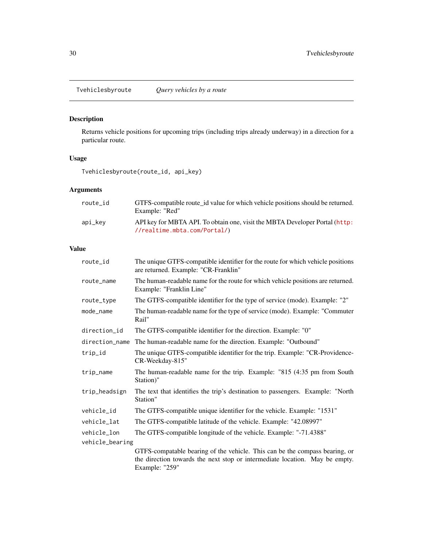<span id="page-29-1"></span><span id="page-29-0"></span>Tvehiclesbyroute *Query vehicles by a route*

# Description

Returns vehicle positions for upcoming trips (including trips already underway) in a direction for a particular route.

#### Usage

Tvehiclesbyroute(route\_id, api\_key)

# Arguments

| route id | GTFS-compatible route id value for which vehicle positions should be returned.<br>Example: "Red"                     |
|----------|----------------------------------------------------------------------------------------------------------------------|
| api_kev  | API key for MBTA API. To obtain one, visit the MBTA Developer Portal (http:<br>$//\text{realtime.mbta.com/Partial}/$ |

| route_id        | The unique GTFS-compatible identifier for the route for which vehicle positions<br>are returned. Example: "CR-Franklin" |
|-----------------|-------------------------------------------------------------------------------------------------------------------------|
| route_name      | The human-readable name for the route for which vehicle positions are returned.<br>Example: "Franklin Line"             |
| route_type      | The GTFS-compatible identifier for the type of service (mode). Example: "2"                                             |
| mode_name       | The human-readable name for the type of service (mode). Example: "Commuter"<br>Rail"                                    |
| direction_id    | The GTFS-compatible identifier for the direction. Example: "0"                                                          |
| direction_name  | The human-readable name for the direction. Example: "Outbound"                                                          |
| trip_id         | The unique GTFS-compatible identifier for the trip. Example: "CR-Providence-<br>CR-Weekday-815"                         |
| trip_name       | The human-readable name for the trip. Example: "815 (4:35 pm from South<br>Station)"                                    |
| trip_headsign   | The text that identifies the trip's destination to passengers. Example: "North<br>Station"                              |
| vehicle_id      | The GTFS-compatible unique identifier for the vehicle. Example: "1531"                                                  |
| vehicle_lat     | The GTFS-compatible latitude of the vehicle. Example: "42.08997"                                                        |
| vehicle_lon     | The GTFS-compatible longitude of the vehicle. Example: "-71.4388"                                                       |
| vehicle_bearing |                                                                                                                         |
|                 | GTFS-compatable bearing of the vehicle. This can be the compass bearing, or                                             |
|                 | the direction towards the next stop or intermediate location. May be empty.<br>Example: "259"                           |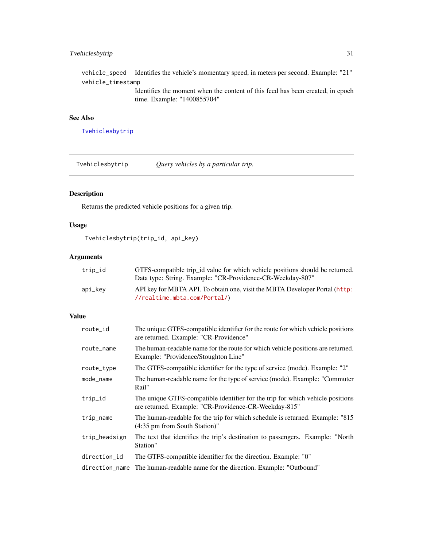# <span id="page-30-0"></span>Tvehiclesbytrip 31

vehicle\_speed Identifies the vehicle's momentary speed, in meters per second. Example: "21" vehicle\_timestamp Identifies the moment when the content of this feed has been created, in epoch time. Example: "1400855704"

# See Also

[Tvehiclesbytrip](#page-30-1)

<span id="page-30-1"></span>Tvehiclesbytrip *Query vehicles by a particular trip.*

# Description

Returns the predicted vehicle positions for a given trip.

# Usage

Tvehiclesbytrip(trip\_id, api\_key)

#### Arguments

| trip_id | GTFS-compatible trip_id value for which vehicle positions should be returned.<br>Data type: String. Example: "CR-Providence-CR-Weekday-807" |
|---------|---------------------------------------------------------------------------------------------------------------------------------------------|
| api_kev | API key for MBTA API. To obtain one, visit the MBTA Developer Portal (http:<br>//realtime.mbta.com/Portal/)                                 |

| route_id       | The unique GTFS-compatible identifier for the route for which vehicle positions<br>are returned. Example: "CR-Providence"               |
|----------------|-----------------------------------------------------------------------------------------------------------------------------------------|
| route_name     | The human-readable name for the route for which vehicle positions are returned.<br>Example: "Providence/Stoughton Line"                 |
| route_type     | The GTFS-compatible identifier for the type of service (mode). Example: "2"                                                             |
| mode_name      | The human-readable name for the type of service (mode). Example: "Commuter"<br>Rail"                                                    |
| trip_id        | The unique GTFS-compatible identifier for the trip for which vehicle positions<br>are returned. Example: "CR-Providence-CR-Weekday-815" |
| trip_name      | The human-readable for the trip for which schedule is returned. Example: "815"<br>(4:35 pm from South Station)"                         |
| trip_headsign  | The text that identifies the trip's destination to passengers. Example: "North<br>Station"                                              |
| direction_id   | The GTFS-compatible identifier for the direction. Example: "0"                                                                          |
| direction_name | The human-readable name for the direction. Example: "Outbound"                                                                          |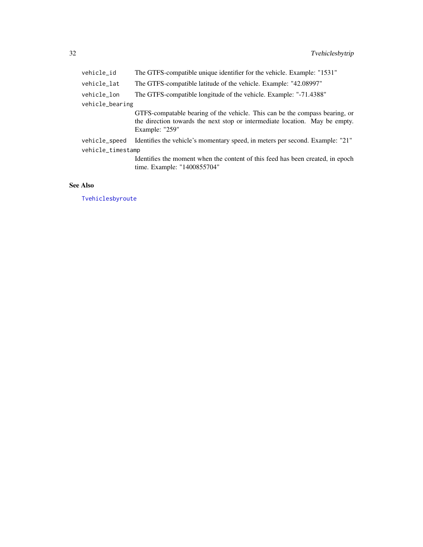<span id="page-31-0"></span>

| vehicle_id        | The GTFS-compatible unique identifier for the vehicle. Example: "1531"                                                                                                       |
|-------------------|------------------------------------------------------------------------------------------------------------------------------------------------------------------------------|
| vehicle_lat       | The GTFS-compatible latitude of the vehicle. Example: "42.08997"                                                                                                             |
| vehicle_lon       | The GTFS-compatible longitude of the vehicle. Example: "-71.4388"                                                                                                            |
| vehicle_bearing   |                                                                                                                                                                              |
|                   | GTFS-compatable bearing of the vehicle. This can be the compass bearing, or<br>the direction towards the next stop or intermediate location. May be empty.<br>Example: "259" |
| vehicle_speed     | Identifies the vehicle's momentary speed, in meters per second. Example: "21"                                                                                                |
| vehicle_timestamp |                                                                                                                                                                              |
|                   | Identifies the moment when the content of this feed has been created, in epoch<br>time. Example: "1400855704"                                                                |

# See Also

[Tvehiclesbyroute](#page-29-1)